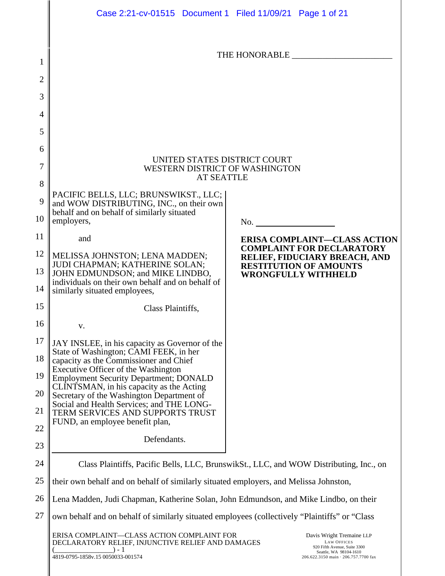|                | Case 2:21-cv-01515 Document 1 Filed 11/09/21 Page 1 of 21                                                                                                                                                                                                                                            |                                                                         |  |  |  |
|----------------|------------------------------------------------------------------------------------------------------------------------------------------------------------------------------------------------------------------------------------------------------------------------------------------------------|-------------------------------------------------------------------------|--|--|--|
|                |                                                                                                                                                                                                                                                                                                      |                                                                         |  |  |  |
| 1              |                                                                                                                                                                                                                                                                                                      |                                                                         |  |  |  |
| $\overline{2}$ |                                                                                                                                                                                                                                                                                                      |                                                                         |  |  |  |
| 3              |                                                                                                                                                                                                                                                                                                      |                                                                         |  |  |  |
| $\overline{4}$ |                                                                                                                                                                                                                                                                                                      |                                                                         |  |  |  |
| 5              |                                                                                                                                                                                                                                                                                                      |                                                                         |  |  |  |
| 6              |                                                                                                                                                                                                                                                                                                      |                                                                         |  |  |  |
| 7              | UNITED STATES DISTRICT COURT<br>WESTERN DISTRICT OF WASHINGTON                                                                                                                                                                                                                                       |                                                                         |  |  |  |
| 8              | <b>AT SEATTLE</b>                                                                                                                                                                                                                                                                                    |                                                                         |  |  |  |
| 9              | PACIFIC BELLS, LLC; BRUNSWIKST., LLC;<br>and WOW DISTRIBUTING, INC., on their own<br>behalf and on behalf of similarly situated                                                                                                                                                                      |                                                                         |  |  |  |
| 10             | employers,                                                                                                                                                                                                                                                                                           | $\frac{1}{2}$ No.                                                       |  |  |  |
| 11             | and                                                                                                                                                                                                                                                                                                  | <b>ERISA COMPLAINT-CLASS ACTION</b><br><b>COMPLAINT FOR DECLARATORY</b> |  |  |  |
| 12             | MELISSA JOHNSTON; LENA MADDEN;<br>JUDI CHAPMAN; KATHERINE SOLAN;                                                                                                                                                                                                                                     | RELIEF, FIDUCIARY BREACH, AND<br><b>RESTITUTION OF AMOUNTS</b>          |  |  |  |
| 13             | JOHN EDMUNDSON; and MIKE LINDBO,<br>individuals on their own behalf and on behalf of                                                                                                                                                                                                                 | <b>WRONGFULLY WITHHELD</b>                                              |  |  |  |
| 14             | similarly situated employees,                                                                                                                                                                                                                                                                        |                                                                         |  |  |  |
| 15             | Class Plaintiffs,                                                                                                                                                                                                                                                                                    |                                                                         |  |  |  |
| 16             | v.                                                                                                                                                                                                                                                                                                   |                                                                         |  |  |  |
| 17             | JAY INSLEE, in his capacity as Governor of the<br>State of Washington; CAMI FEEK, in her<br>capacity as the Commissioner and Chief<br>Executive Officer of the Washington                                                                                                                            |                                                                         |  |  |  |
| 18<br>19       |                                                                                                                                                                                                                                                                                                      |                                                                         |  |  |  |
| 20             | <b>Employment Security Department; DONALD</b><br>CLINTSMAN, in his capacity as the Acting<br>Secretary of the Washington Department of                                                                                                                                                               |                                                                         |  |  |  |
| 21             | Social and Health Services; and THE LONG-<br>TERM SERVICES AND SUPPORTS TRUST                                                                                                                                                                                                                        |                                                                         |  |  |  |
| 22             | FUND, an employee benefit plan,                                                                                                                                                                                                                                                                      |                                                                         |  |  |  |
| 23             | Defendants.                                                                                                                                                                                                                                                                                          |                                                                         |  |  |  |
| 24             | Class Plaintiffs, Pacific Bells, LLC, BrunswikSt., LLC, and WOW Distributing, Inc., on                                                                                                                                                                                                               |                                                                         |  |  |  |
| 25             | their own behalf and on behalf of similarly situated employers, and Melissa Johnston,                                                                                                                                                                                                                |                                                                         |  |  |  |
| 26             | Lena Madden, Judi Chapman, Katherine Solan, John Edmundson, and Mike Lindbo, on their                                                                                                                                                                                                                |                                                                         |  |  |  |
| 27             | own behalf and on behalf of similarly situated employees (collectively "Plaintiffs" or "Class")                                                                                                                                                                                                      |                                                                         |  |  |  |
|                | ERISA COMPLAINT-CLASS ACTION COMPLAINT FOR<br>Davis Wright Tremaine LLP<br>DECLARATORY RELIEF, INJUNCTIVE RELIEF AND DAMAGES<br><b>LAW OFFICES</b><br>920 Fifth Avenue, Suite 3300<br>$) - 1$<br>Seattle, WA 98104-1610<br>4819-0795-1858v.15 0050033-001574<br>206.622.3150 main · 206.757.7700 fax |                                                                         |  |  |  |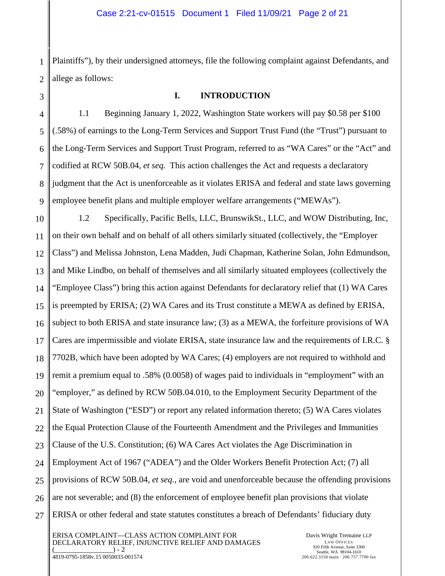1 2 Plaintiffs"), by their undersigned attorneys, file the following complaint against Defendants, and allege as follows:

#### **I. INTRODUCTION**

1.1 Beginning January 1, 2022, Washington State workers will pay \$0.58 per \$100 (.58%) of earnings to the Long-Term Services and Support Trust Fund (the "Trust") pursuant to the Long-Term Services and Support Trust Program, referred to as "WA Cares" or the "Act" and codified at RCW 50B.04, *et seq.* This action challenges the Act and requests a declaratory judgment that the Act is unenforceable as it violates ERISA and federal and state laws governing employee benefit plans and multiple employer welfare arrangements ("MEWAs").

10 11 12 13 14 15 16 17 18 19 20 21 22 23 24 25 26 27 1.2 Specifically, Pacific Bells, LLC, BrunswikSt., LLC, and WOW Distributing, Inc, on their own behalf and on behalf of all others similarly situated (collectively, the "Employer Class") and Melissa Johnston, Lena Madden, Judi Chapman, Katherine Solan, John Edmundson, and Mike Lindbo, on behalf of themselves and all similarly situated employees (collectively the "Employee Class") bring this action against Defendants for declaratory relief that (1) WA Cares is preempted by ERISA; (2) WA Cares and its Trust constitute a MEWA as defined by ERISA, subject to both ERISA and state insurance law; (3) as a MEWA, the forfeiture provisions of WA Cares are impermissible and violate ERISA, state insurance law and the requirements of I.R.C. § 7702B, which have been adopted by WA Cares; (4) employers are not required to withhold and remit a premium equal to .58% (0.0058) of wages paid to individuals in "employment" with an "employer," as defined by RCW 50B.04.010, to the Employment Security Department of the State of Washington ("ESD") or report any related information thereto; (5) WA Cares violates the Equal Protection Clause of the Fourteenth Amendment and the Privileges and Immunities Clause of the U.S. Constitution; (6) WA Cares Act violates the Age Discrimination in Employment Act of 1967 ("ADEA") and the Older Workers Benefit Protection Act; (7) all provisions of RCW 50B.04, *et seq*., are void and unenforceable because the offending provisions are not severable; and (8) the enforcement of employee benefit plan provisions that violate ERISA or other federal and state statutes constitutes a breach of Defendants' fiduciary duty

ERISA COMPLAINT—CLASS ACTION COMPLAINT FOR DECLARATORY RELIEF, INJUNCTIVE RELIEF AND DAMAGES  $) - 2$ 4819-0795-1858v.15 0050033-001574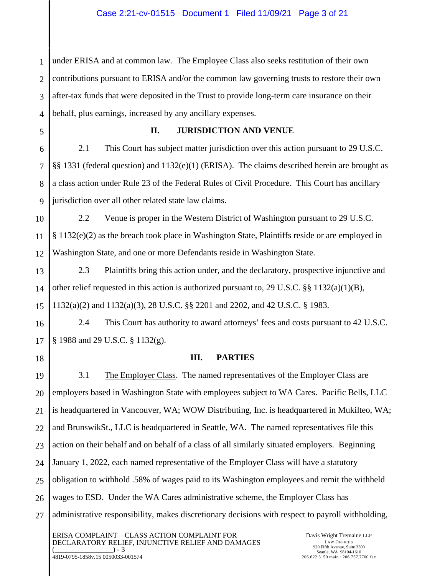1 2 3 4 under ERISA and at common law. The Employee Class also seeks restitution of their own contributions pursuant to ERISA and/or the common law governing trusts to restore their own after-tax funds that were deposited in the Trust to provide long-term care insurance on their behalf, plus earnings, increased by any ancillary expenses.

5

#### **II. JURISDICTION AND VENUE**

6 7 8 9 2.1 This Court has subject matter jurisdiction over this action pursuant to 29 U.S.C. §§ 1331 (federal question) and 1132(e)(1) (ERISA). The claims described herein are brought as a class action under Rule 23 of the Federal Rules of Civil Procedure. This Court has ancillary jurisdiction over all other related state law claims.

10 11 12 2.2 Venue is proper in the Western District of Washington pursuant to 29 U.S.C. § 1132(e)(2) as the breach took place in Washington State, Plaintiffs reside or are employed in Washington State, and one or more Defendants reside in Washington State.

13 14 15 2.3 Plaintiffs bring this action under, and the declaratory, prospective injunctive and other relief requested in this action is authorized pursuant to, 29 U.S.C. §§ 1132(a)(1)(B), 1132(a)(2) and 1132(a)(3), 28 U.S.C. §§ 2201 and 2202, and 42 U.S.C. § 1983.

16 17 2.4 This Court has authority to award attorneys' fees and costs pursuant to 42 U.S.C. § 1988 and 29 U.S.C. § 1132(g).

**III. PARTIES** 

18

19

20

21

22

23

24

25

26

27

3.1 The Employer Class. The named representatives of the Employer Class are employers based in Washington State with employees subject to WA Cares. Pacific Bells, LLC is headquartered in Vancouver, WA; WOW Distributing, Inc. is headquartered in Mukilteo, WA; and BrunswikSt., LLC is headquartered in Seattle, WA. The named representatives file this action on their behalf and on behalf of a class of all similarly situated employers. Beginning January 1, 2022, each named representative of the Employer Class will have a statutory obligation to withhold .58% of wages paid to its Washington employees and remit the withheld wages to ESD. Under the WA Cares administrative scheme, the Employer Class has administrative responsibility, makes discretionary decisions with respect to payroll withholding,

ERISA COMPLAINT—CLASS ACTION COMPLAINT FOR DECLARATORY RELIEF, INJUNCTIVE RELIEF AND DAMAGES  $) - 3$ 4819-0795-1858v.15 0050033-001574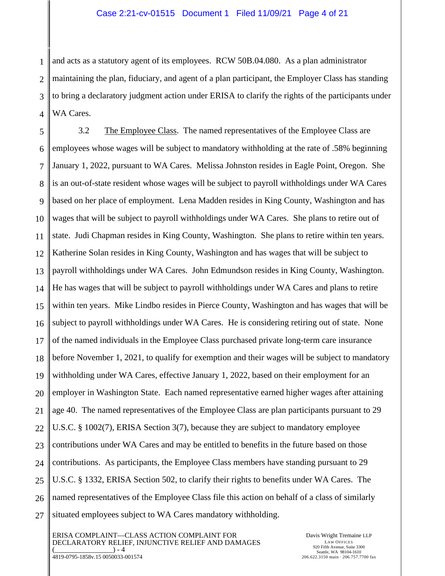1 2 3 4 and acts as a statutory agent of its employees. RCW 50B.04.080. As a plan administrator maintaining the plan, fiduciary, and agent of a plan participant, the Employer Class has standing to bring a declaratory judgment action under ERISA to clarify the rights of the participants under WA Cares.

5 6 7 8 9 10 11 12 13 14 15 16 17 18 19 20 21 22 23 24 25 26 27 3.2 The Employee Class. The named representatives of the Employee Class are employees whose wages will be subject to mandatory withholding at the rate of .58% beginning January 1, 2022, pursuant to WA Cares. Melissa Johnston resides in Eagle Point, Oregon. She is an out-of-state resident whose wages will be subject to payroll withholdings under WA Cares based on her place of employment. Lena Madden resides in King County, Washington and has wages that will be subject to payroll withholdings under WA Cares. She plans to retire out of state. Judi Chapman resides in King County, Washington. She plans to retire within ten years. Katherine Solan resides in King County, Washington and has wages that will be subject to payroll withholdings under WA Cares. John Edmundson resides in King County, Washington. He has wages that will be subject to payroll withholdings under WA Cares and plans to retire within ten years. Mike Lindbo resides in Pierce County, Washington and has wages that will be subject to payroll withholdings under WA Cares. He is considering retiring out of state. None of the named individuals in the Employee Class purchased private long-term care insurance before November 1, 2021, to qualify for exemption and their wages will be subject to mandatory withholding under WA Cares, effective January 1, 2022, based on their employment for an employer in Washington State. Each named representative earned higher wages after attaining age 40. The named representatives of the Employee Class are plan participants pursuant to 29 U.S.C. § 1002(7), ERISA Section 3(7), because they are subject to mandatory employee contributions under WA Cares and may be entitled to benefits in the future based on those contributions. As participants, the Employee Class members have standing pursuant to 29 U.S.C. § 1332, ERISA Section 502, to clarify their rights to benefits under WA Cares. The named representatives of the Employee Class file this action on behalf of a class of similarly situated employees subject to WA Cares mandatory withholding.

ERISA COMPLAINT—CLASS ACTION COMPLAINT FOR DECLARATORY RELIEF, INJUNCTIVE RELIEF AND DAMAGES  $) - 4$ 4819-0795-1858v.15 0050033-001574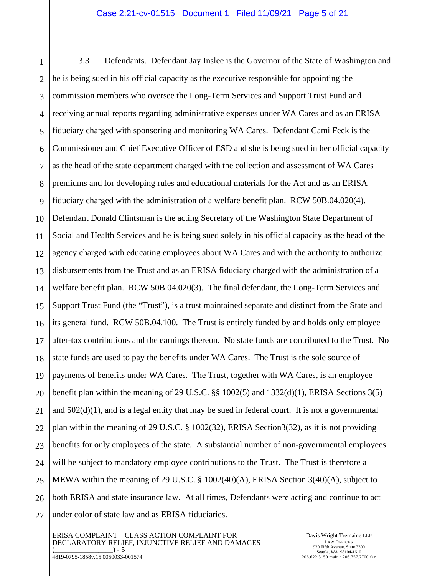#### Case 2:21-cv-01515 Document 1 Filed 11/09/21 Page 5 of 21

1 2 3 4 5 6 7 8 9 10 11 12 13 14 15 16 17 18 19 20 21 22 23 24 25 26 27 3.3 Defendants. Defendant Jay Inslee is the Governor of the State of Washington and he is being sued in his official capacity as the executive responsible for appointing the commission members who oversee the Long-Term Services and Support Trust Fund and receiving annual reports regarding administrative expenses under WA Cares and as an ERISA fiduciary charged with sponsoring and monitoring WA Cares. Defendant Cami Feek is the Commissioner and Chief Executive Officer of ESD and she is being sued in her official capacity as the head of the state department charged with the collection and assessment of WA Cares premiums and for developing rules and educational materials for the Act and as an ERISA fiduciary charged with the administration of a welfare benefit plan. RCW 50B.04.020(4). Defendant Donald Clintsman is the acting Secretary of the Washington State Department of Social and Health Services and he is being sued solely in his official capacity as the head of the agency charged with educating employees about WA Cares and with the authority to authorize disbursements from the Trust and as an ERISA fiduciary charged with the administration of a welfare benefit plan. RCW 50B.04.020(3). The final defendant, the Long-Term Services and Support Trust Fund (the "Trust"), is a trust maintained separate and distinct from the State and its general fund. RCW 50B.04.100. The Trust is entirely funded by and holds only employee after-tax contributions and the earnings thereon. No state funds are contributed to the Trust. No state funds are used to pay the benefits under WA Cares. The Trust is the sole source of payments of benefits under WA Cares. The Trust, together with WA Cares, is an employee benefit plan within the meaning of 29 U.S.C. §§ 1002(5) and 1332(d)(1), ERISA Sections 3(5) and  $502(d)(1)$ , and is a legal entity that may be sued in federal court. It is not a governmental plan within the meaning of 29 U.S.C. § 1002(32), ERISA Section3(32), as it is not providing benefits for only employees of the state. A substantial number of non-governmental employees will be subject to mandatory employee contributions to the Trust. The Trust is therefore a MEWA within the meaning of 29 U.S.C. § 1002(40)(A), ERISA Section 3(40)(A), subject to both ERISA and state insurance law. At all times, Defendants were acting and continue to act under color of state law and as ERISA fiduciaries.

ERISA COMPLAINT—CLASS ACTION COMPLAINT FOR DECLARATORY RELIEF, INJUNCTIVE RELIEF AND DAMAGES  $) - 5$ 4819-0795-1858v.15 0050033-001574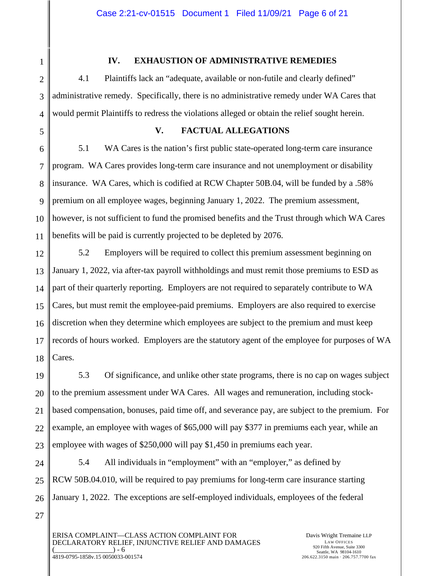11

1

#### **IV. EXHAUSTION OF ADMINISTRATIVE REMEDIES**

4.1 Plaintiffs lack an "adequate, available or non-futile and clearly defined" administrative remedy. Specifically, there is no administrative remedy under WA Cares that would permit Plaintiffs to redress the violations alleged or obtain the relief sought herein.

#### **V. FACTUAL ALLEGATIONS**

8 9 10 5.1 WA Cares is the nation's first public state-operated long-term care insurance program. WA Cares provides long-term care insurance and not unemployment or disability insurance. WA Cares, which is codified at RCW Chapter 50B.04, will be funded by a .58% premium on all employee wages, beginning January 1, 2022. The premium assessment, however, is not sufficient to fund the promised benefits and the Trust through which WA Cares benefits will be paid is currently projected to be depleted by 2076.

12 13 14 15 16 17 18 5.2 Employers will be required to collect this premium assessment beginning on January 1, 2022, via after-tax payroll withholdings and must remit those premiums to ESD as part of their quarterly reporting. Employers are not required to separately contribute to WA Cares, but must remit the employee-paid premiums. Employers are also required to exercise discretion when they determine which employees are subject to the premium and must keep records of hours worked. Employers are the statutory agent of the employee for purposes of WA Cares.

19 20 21 22 23 5.3 Of significance, and unlike other state programs, there is no cap on wages subject to the premium assessment under WA Cares. All wages and remuneration, including stockbased compensation, bonuses, paid time off, and severance pay, are subject to the premium. For example, an employee with wages of \$65,000 will pay \$377 in premiums each year, while an employee with wages of \$250,000 will pay \$1,450 in premiums each year.

24 25 26 5.4 All individuals in "employment" with an "employer," as defined by RCW 50B.04.010, will be required to pay premiums for long-term care insurance starting January 1, 2022. The exceptions are self-employed individuals, employees of the federal

27

ERISA COMPLAINT—CLASS ACTION COMPLAINT FOR DECLARATORY RELIEF, INJUNCTIVE RELIEF AND DAMAGES  $) - 6$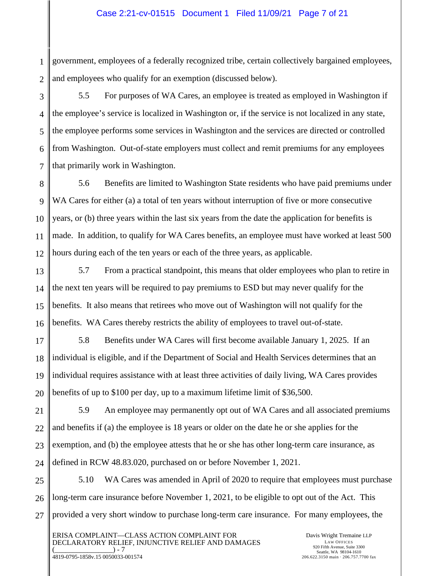#### Case 2:21-cv-01515 Document 1 Filed 11/09/21 Page 7 of 21

1 2 government, employees of a federally recognized tribe, certain collectively bargained employees, and employees who qualify for an exemption (discussed below).

3

4

5

6

7

5.5 For purposes of WA Cares, an employee is treated as employed in Washington if the employee's service is localized in Washington or, if the service is not localized in any state, the employee performs some services in Washington and the services are directed or controlled from Washington. Out-of-state employers must collect and remit premiums for any employees that primarily work in Washington.

8 9 10 11 12 5.6 Benefits are limited to Washington State residents who have paid premiums under WA Cares for either (a) a total of ten years without interruption of five or more consecutive years, or (b) three years within the last six years from the date the application for benefits is made. In addition, to qualify for WA Cares benefits, an employee must have worked at least 500 hours during each of the ten years or each of the three years, as applicable.

13 14 15 16 5.7 From a practical standpoint, this means that older employees who plan to retire in the next ten years will be required to pay premiums to ESD but may never qualify for the benefits. It also means that retirees who move out of Washington will not qualify for the benefits. WA Cares thereby restricts the ability of employees to travel out-of-state.

17 18 19 20 5.8 Benefits under WA Cares will first become available January 1, 2025. If an individual is eligible, and if the Department of Social and Health Services determines that an individual requires assistance with at least three activities of daily living, WA Cares provides benefits of up to \$100 per day, up to a maximum lifetime limit of \$36,500.

21 22 23 5.9 An employee may permanently opt out of WA Cares and all associated premiums and benefits if (a) the employee is 18 years or older on the date he or she applies for the exemption, and (b) the employee attests that he or she has other long-term care insurance, as defined in RCW 48.83.020, purchased on or before November 1, 2021.

26 27 5.10 WA Cares was amended in April of 2020 to require that employees must purchase long-term care insurance before November 1, 2021, to be eligible to opt out of the Act. This provided a very short window to purchase long-term care insurance. For many employees, the

ERISA COMPLAINT—CLASS ACTION COMPLAINT FOR DECLARATORY RELIEF, INJUNCTIVE RELIEF AND DAMAGES  $) - 7$ 

4819-0795-1858v.15 0050033-001574

Davis Wright Tremaine LLP LAW OFFICES 920 Fifth Avenue, Suite 3300 Seattle, WA 98104-1610 206.622.3150 main · 206.757.7700 fax

24 25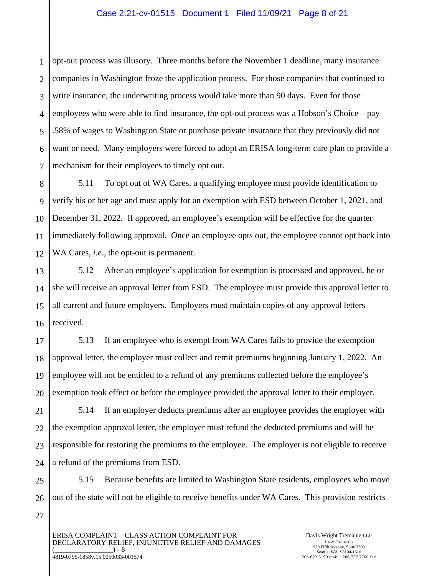#### Case 2:21-cv-01515 Document 1 Filed 11/09/21 Page 8 of 21

1 2 3 4 5 opt-out process was illusory. Three months before the November 1 deadline, many insurance companies in Washington froze the application process. For those companies that continued to write insurance, the underwriting process would take more than 90 days. Even for those employees who were able to find insurance, the opt-out process was a Hobson's Choice—pay .58% of wages to Washington State or purchase private insurance that they previously did not want or need. Many employers were forced to adopt an ERISA long-term care plan to provide a mechanism for their employees to timely opt out.

5.11 To opt out of WA Cares, a qualifying employee must provide identification to verify his or her age and must apply for an exemption with ESD between October 1, 2021, and December 31, 2022. If approved, an employee's exemption will be effective for the quarter immediately following approval. Once an employee opts out, the employee cannot opt back into WA Cares, *i.e.,* the opt-out is permanent.

5.12 After an employee's application for exemption is processed and approved, he or she will receive an approval letter from ESD. The employee must provide this approval letter to all current and future employers. Employers must maintain copies of any approval letters received.

5.13 If an employee who is exempt from WA Cares fails to provide the exemption approval letter, the employer must collect and remit premiums beginning January 1, 2022. An employee will not be entitled to a refund of any premiums collected before the employee's exemption took effect or before the employee provided the approval letter to their employer.

5.14 If an employer deducts premiums after an employee provides the employer with the exemption approval letter, the employer must refund the deducted premiums and will be responsible for restoring the premiums to the employee. The employer is not eligible to receive a refund of the premiums from ESD.

5.15 Because benefits are limited to Washington State residents, employees who move out of the state will not be eligible to receive benefits under WA Cares. This provision restricts

ERISA COMPLAINT—CLASS ACTION COMPLAINT FOR DECLARATORY RELIEF, INJUNCTIVE RELIEF AND DAMAGES  $) - 8$ 4819-0795-1858v.15 0050033-001574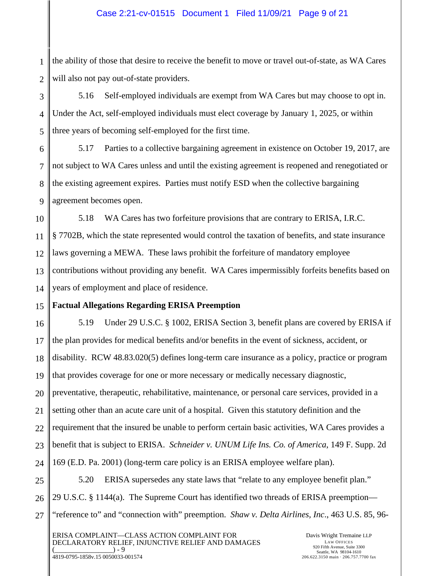#### Case 2:21-cv-01515 Document 1 Filed 11/09/21 Page 9 of 21

1 2 the ability of those that desire to receive the benefit to move or travel out-of-state, as WA Cares will also not pay out-of-state providers.

3 4 5 5.16 Self-employed individuals are exempt from WA Cares but may choose to opt in. Under the Act, self-employed individuals must elect coverage by January 1, 2025, or within three years of becoming self-employed for the first time.

6 7 8 9 5.17 Parties to a collective bargaining agreement in existence on October 19, 2017, are not subject to WA Cares unless and until the existing agreement is reopened and renegotiated or the existing agreement expires. Parties must notify ESD when the collective bargaining agreement becomes open.

10 11 12 13 14 5.18 WA Cares has two forfeiture provisions that are contrary to ERISA, I.R.C. § 7702B, which the state represented would control the taxation of benefits, and state insurance laws governing a MEWA. These laws prohibit the forfeiture of mandatory employee contributions without providing any benefit. WA Cares impermissibly forfeits benefits based on years of employment and place of residence.

#### 15 **Factual Allegations Regarding ERISA Preemption**

16 17 18 19 20 21 22 23 24 5.19 Under 29 U.S.C. § 1002, ERISA Section 3, benefit plans are covered by ERISA if the plan provides for medical benefits and/or benefits in the event of sickness, accident, or disability. RCW 48.83.020(5) defines long-term care insurance as a policy, practice or program that provides coverage for one or more necessary or medically necessary diagnostic, preventative, therapeutic, rehabilitative, maintenance, or personal care services, provided in a setting other than an acute care unit of a hospital. Given this statutory definition and the requirement that the insured be unable to perform certain basic activities, WA Cares provides a benefit that is subject to ERISA. *Schneider v. UNUM Life Ins. Co. of America*, 149 F. Supp. 2d 169 (E.D. Pa. 2001) (long-term care policy is an ERISA employee welfare plan).

25 26 27 5.20 ERISA supersedes any state laws that "relate to any employee benefit plan." 29 U.S.C. § 1144(a). The Supreme Court has identified two threads of ERISA preemption— "reference to" and "connection with" preemption. *Shaw v. Delta Airlines, Inc*., 463 U.S. 85, 96-

ERISA COMPLAINT—CLASS ACTION COMPLAINT FOR DECLARATORY RELIEF, INJUNCTIVE RELIEF AND DAMAGES  $_$ ) - 9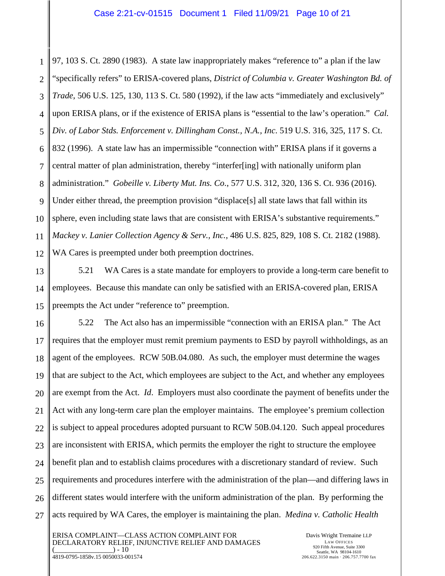1 2 3 4 5 6 7 8 9 10 11 12 97, 103 S. Ct. 2890 (1983). A state law inappropriately makes "reference to" a plan if the law "specifically refers" to ERISA-covered plans, *District of Columbia v. Greater Washington Bd. of Trade*, 506 U.S. 125, 130, 113 S. Ct. 580 (1992), if the law acts "immediately and exclusively" upon ERISA plans, or if the existence of ERISA plans is "essential to the law's operation." *Cal. Div. of Labor Stds. Enforcement v. Dillingham Const., N.A., Inc*. 519 U.S. 316, 325, 117 S. Ct. 832 (1996). A state law has an impermissible "connection with" ERISA plans if it governs a central matter of plan administration, thereby "interfer[ing] with nationally uniform plan administration." *Gobeille v. Liberty Mut. Ins. Co*., 577 U.S. 312, 320, 136 S. Ct. 936 (2016). Under either thread, the preemption provision "displace[s] all state laws that fall within its sphere, even including state laws that are consistent with ERISA's substantive requirements." *Mackey v. Lanier Collection Agency & Serv., Inc.*, 486 U.S. 825, 829, 108 S. Ct. 2182 (1988). WA Cares is preempted under both preemption doctrines.

13 14 15 5.21 WA Cares is a state mandate for employers to provide a long-term care benefit to employees. Because this mandate can only be satisfied with an ERISA-covered plan, ERISA preempts the Act under "reference to" preemption.

16 17 18 19 20 21 22 23 24 25 26 27 5.22 The Act also has an impermissible "connection with an ERISA plan." The Act requires that the employer must remit premium payments to ESD by payroll withholdings, as an agent of the employees. RCW 50B.04.080. As such, the employer must determine the wages that are subject to the Act, which employees are subject to the Act, and whether any employees are exempt from the Act. *Id*. Employers must also coordinate the payment of benefits under the Act with any long-term care plan the employer maintains. The employee's premium collection is subject to appeal procedures adopted pursuant to RCW 50B.04.120. Such appeal procedures are inconsistent with ERISA, which permits the employer the right to structure the employee benefit plan and to establish claims procedures with a discretionary standard of review. Such requirements and procedures interfere with the administration of the plan—and differing laws in different states would interfere with the uniform administration of the plan. By performing the acts required by WA Cares, the employer is maintaining the plan. *Medina v. Catholic Health* 

ERISA COMPLAINT—CLASS ACTION COMPLAINT FOR DECLARATORY RELIEF, INJUNCTIVE RELIEF AND DAMAGES  $) - 10$ 4819-0795-1858v.15 0050033-001574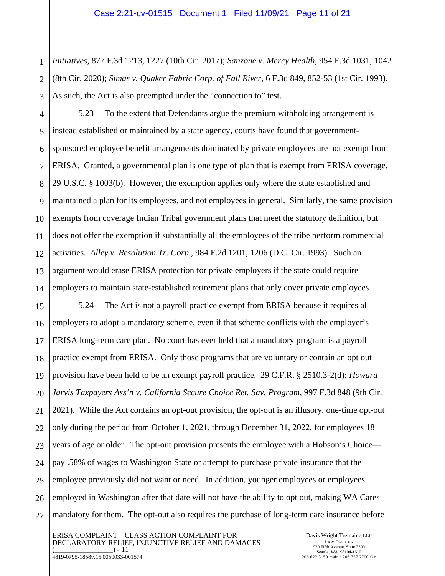1 2 3 *Initiatives*, 877 F.3d 1213, 1227 (10th Cir. 2017); *Sanzone v. Mercy Health*, 954 F.3d 1031, 1042 (8th Cir. 2020); *Simas v. Quaker Fabric Corp. of Fall River*, 6 F.3d 849, 852-53 (1st Cir. 1993). As such, the Act is also preempted under the "connection to" test.

4 5 6 7 8 9 10 11 12 13 14 5.23 To the extent that Defendants argue the premium withholding arrangement is instead established or maintained by a state agency, courts have found that governmentsponsored employee benefit arrangements dominated by private employees are not exempt from ERISA. Granted, a governmental plan is one type of plan that is exempt from ERISA coverage. 29 U.S.C. § 1003(b). However, the exemption applies only where the state established and maintained a plan for its employees, and not employees in general. Similarly, the same provision exempts from coverage Indian Tribal government plans that meet the statutory definition, but does not offer the exemption if substantially all the employees of the tribe perform commercial activities. *Alley v. Resolution Tr. Corp.*, 984 F.2d 1201, 1206 (D.C. Cir. 1993). Such an argument would erase ERISA protection for private employers if the state could require employers to maintain state-established retirement plans that only cover private employees.

15 16 17 18 19 20 21 22 23 24 25 26 27 5.24 The Act is not a payroll practice exempt from ERISA because it requires all employers to adopt a mandatory scheme, even if that scheme conflicts with the employer's ERISA long-term care plan. No court has ever held that a mandatory program is a payroll practice exempt from ERISA. Only those programs that are voluntary or contain an opt out provision have been held to be an exempt payroll practice. 29 C.F.R. § 2510.3-2(d); *Howard Jarvis Taxpayers Ass'n v. California Secure Choice Ret. Sav. Program*, 997 F.3d 848 (9th Cir. 2021). While the Act contains an opt-out provision, the opt-out is an illusory, one-time opt-out only during the period from October 1, 2021, through December 31, 2022, for employees 18 years of age or older. The opt-out provision presents the employee with a Hobson's Choice pay .58% of wages to Washington State or attempt to purchase private insurance that the employee previously did not want or need. In addition, younger employees or employees employed in Washington after that date will not have the ability to opt out, making WA Cares mandatory for them. The opt-out also requires the purchase of long-term care insurance before

ERISA COMPLAINT—CLASS ACTION COMPLAINT FOR DECLARATORY RELIEF, INJUNCTIVE RELIEF AND DAMAGES  $) - 11$ 4819-0795-1858v.15 0050033-001574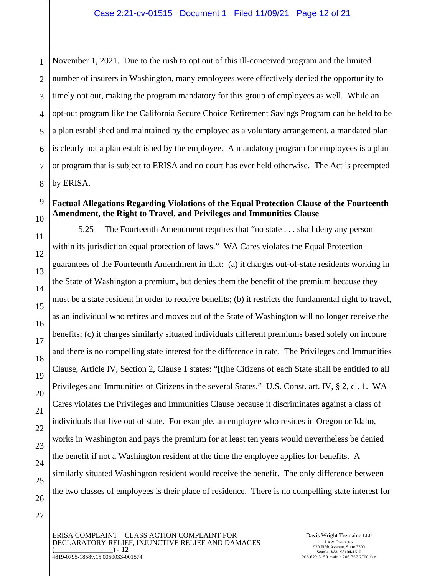1 2 3 4 November 1, 2021. Due to the rush to opt out of this ill-conceived program and the limited number of insurers in Washington, many employees were effectively denied the opportunity to timely opt out, making the program mandatory for this group of employees as well. While an opt-out program like the California Secure Choice Retirement Savings Program can be held to be a plan established and maintained by the employee as a voluntary arrangement, a mandated plan is clearly not a plan established by the employee. A mandatory program for employees is a plan or program that is subject to ERISA and no court has ever held otherwise. The Act is preempted by ERISA.

#### **Factual Allegations Regarding Violations of the Equal Protection Clause of the Fourteenth Amendment, the Right to Travel, and Privileges and Immunities Clause**

5.25 The Fourteenth Amendment requires that "no state . . . shall deny any person within its jurisdiction equal protection of laws." WA Cares violates the Equal Protection guarantees of the Fourteenth Amendment in that: (a) it charges out-of-state residents working in the State of Washington a premium, but denies them the benefit of the premium because they must be a state resident in order to receive benefits; (b) it restricts the fundamental right to travel, as an individual who retires and moves out of the State of Washington will no longer receive the benefits; (c) it charges similarly situated individuals different premiums based solely on income and there is no compelling state interest for the difference in rate. The Privileges and Immunities Clause, Article IV, Section 2, Clause 1 states: "[t]he Citizens of each State shall be entitled to all Privileges and Immunities of Citizens in the several States." U.S. Const. art. IV, § 2, cl. 1. WA Cares violates the Privileges and Immunities Clause because it discriminates against a class of individuals that live out of state. For example, an employee who resides in Oregon or Idaho, works in Washington and pays the premium for at least ten years would nevertheless be denied the benefit if not a Washington resident at the time the employee applies for benefits. A similarly situated Washington resident would receive the benefit. The only difference between the two classes of employees is their place of residence. There is no compelling state interest for

ERISA COMPLAINT—CLASS ACTION COMPLAINT FOR DECLARATORY RELIEF, INJUNCTIVE RELIEF AND DAMAGES  $) - 12$ 4819-0795-1858v.15 0050033-001574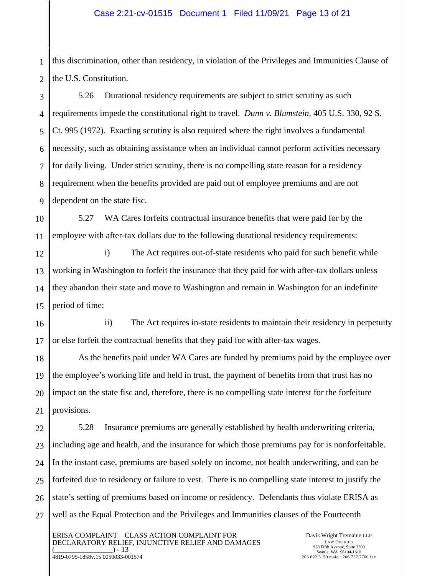#### Case 2:21-cv-01515 Document 1 Filed 11/09/21 Page 13 of 21

1 2 this discrimination, other than residency, in violation of the Privileges and Immunities Clause of the U.S. Constitution.

3 4 5 6 7 8 5.26 Durational residency requirements are subject to strict scrutiny as such requirements impede the constitutional right to travel. *Dunn v. Blumstein*, 405 U.S. 330, 92 S. Ct. 995 (1972). Exacting scrutiny is also required where the right involves a fundamental necessity, such as obtaining assistance when an individual cannot perform activities necessary for daily living. Under strict scrutiny, there is no compelling state reason for a residency requirement when the benefits provided are paid out of employee premiums and are not dependent on the state fisc.

5.27 WA Cares forfeits contractual insurance benefits that were paid for by the employee with after-tax dollars due to the following durational residency requirements:

i) The Act requires out-of-state residents who paid for such benefit while working in Washington to forfeit the insurance that they paid for with after-tax dollars unless they abandon their state and move to Washington and remain in Washington for an indefinite period of time;

ii) The Act requires in-state residents to maintain their residency in perpetuity or else forfeit the contractual benefits that they paid for with after-tax wages.

As the benefits paid under WA Cares are funded by premiums paid by the employee over the employee's working life and held in trust, the payment of benefits from that trust has no impact on the state fisc and, therefore, there is no compelling state interest for the forfeiture provisions.

27 5.28 Insurance premiums are generally established by health underwriting criteria, including age and health, and the insurance for which those premiums pay for is nonforfeitable. In the instant case, premiums are based solely on income, not health underwriting, and can be forfeited due to residency or failure to vest. There is no compelling state interest to justify the state's setting of premiums based on income or residency. Defendants thus violate ERISA as well as the Equal Protection and the Privileges and Immunities clauses of the Fourteenth

ERISA COMPLAINT—CLASS ACTION COMPLAINT FOR DECLARATORY RELIEF, INJUNCTIVE RELIEF AND DAMAGES  $) - 13$ 4819-0795-1858v.15 0050033-001574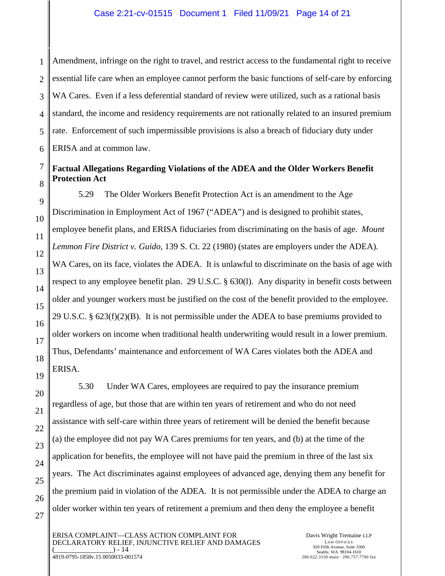1 2 Amendment, infringe on the right to travel, and restrict access to the fundamental right to receive essential life care when an employee cannot perform the basic functions of self-care by enforcing WA Cares. Even if a less deferential standard of review were utilized, such as a rational basis standard, the income and residency requirements are not rationally related to an insured premium rate. Enforcement of such impermissible provisions is also a breach of fiduciary duty under ERISA and at common law.

#### **Factual Allegations Regarding Violations of the ADEA and the Older Workers Benefit Protection Act**

5.29 The Older Workers Benefit Protection Act is an amendment to the Age Discrimination in Employment Act of 1967 ("ADEA") and is designed to prohibit states, employee benefit plans, and ERISA fiduciaries from discriminating on the basis of age. *Mount Lemmon Fire District v. Guido*, 139 S. Ct. 22 (1980) (states are employers under the ADEA). WA Cares, on its face, violates the ADEA. It is unlawful to discriminate on the basis of age with respect to any employee benefit plan. 29 U.S.C. § 630(l). Any disparity in benefit costs between older and younger workers must be justified on the cost of the benefit provided to the employee. 29 U.S.C. §  $623(f)(2)(B)$ . It is not permissible under the ADEA to base premiums provided to older workers on income when traditional health underwriting would result in a lower premium. Thus, Defendants' maintenance and enforcement of WA Cares violates both the ADEA and ERISA.

5.30 Under WA Cares, employees are required to pay the insurance premium regardless of age, but those that are within ten years of retirement and who do not need assistance with self-care within three years of retirement will be denied the benefit because (a) the employee did not pay WA Cares premiums for ten years, and (b) at the time of the application for benefits, the employee will not have paid the premium in three of the last six years. The Act discriminates against employees of advanced age, denying them any benefit for the premium paid in violation of the ADEA. It is not permissible under the ADEA to charge an older worker within ten years of retirement a premium and then deny the employee a benefit

ERISA COMPLAINT—CLASS ACTION COMPLAINT FOR DECLARATORY RELIEF, INJUNCTIVE RELIEF AND DAMAGES  $) - 14$ 4819-0795-1858v.15 0050033-001574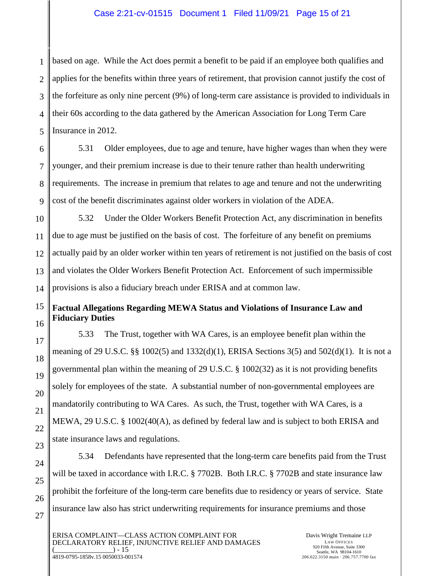#### Case 2:21-cv-01515 Document 1 Filed 11/09/21 Page 15 of 21

1 2 3 4 based on age. While the Act does permit a benefit to be paid if an employee both qualifies and applies for the benefits within three years of retirement, that provision cannot justify the cost of the forfeiture as only nine percent (9%) of long-term care assistance is provided to individuals in their 60s according to the data gathered by the American Association for Long Term Care Insurance in 2012.

5.31 Older employees, due to age and tenure, have higher wages than when they were younger, and their premium increase is due to their tenure rather than health underwriting requirements. The increase in premium that relates to age and tenure and not the underwriting cost of the benefit discriminates against older workers in violation of the ADEA.

5.32 Under the Older Workers Benefit Protection Act, any discrimination in benefits due to age must be justified on the basis of cost. The forfeiture of any benefit on premiums actually paid by an older worker within ten years of retirement is not justified on the basis of cost and violates the Older Workers Benefit Protection Act. Enforcement of such impermissible provisions is also a fiduciary breach under ERISA and at common law.

#### **Factual Allegations Regarding MEWA Status and Violations of Insurance Law and Fiduciary Duties**

5.33 The Trust, together with WA Cares, is an employee benefit plan within the meaning of 29 U.S.C. §§ 1002(5) and 1332(d)(1), ERISA Sections 3(5) and 502(d)(1). It is not a governmental plan within the meaning of 29 U.S.C. § 1002(32) as it is not providing benefits solely for employees of the state. A substantial number of non-governmental employees are mandatorily contributing to WA Cares. As such, the Trust, together with WA Cares, is a MEWA, 29 U.S.C. § 1002(40(A), as defined by federal law and is subject to both ERISA and state insurance laws and regulations.

5.34 Defendants have represented that the long-term care benefits paid from the Trust will be taxed in accordance with I.R.C. § 7702B. Both I.R.C. § 7702B and state insurance law prohibit the forfeiture of the long-term care benefits due to residency or years of service. State insurance law also has strict underwriting requirements for insurance premiums and those

ERISA COMPLAINT—CLASS ACTION COMPLAINT FOR DECLARATORY RELIEF, INJUNCTIVE RELIEF AND DAMAGES  $) - 15$ 4819-0795-1858v.15 0050033-001574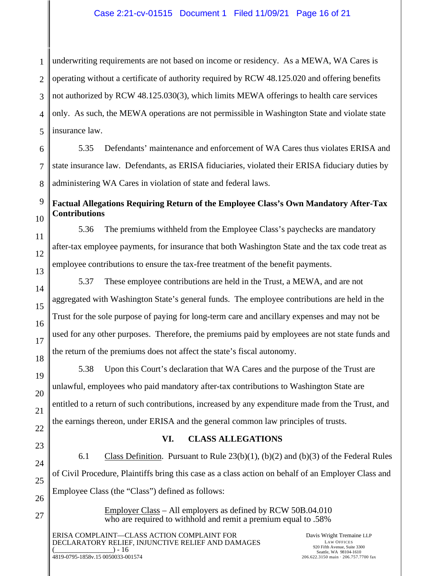1 2 3 underwriting requirements are not based on income or residency. As a MEWA, WA Cares is operating without a certificate of authority required by RCW 48.125.020 and offering benefits not authorized by RCW 48.125.030(3), which limits MEWA offerings to health care services only. As such, the MEWA operations are not permissible in Washington State and violate state insurance law.

5.35 Defendants' maintenance and enforcement of WA Cares thus violates ERISA and state insurance law. Defendants, as ERISA fiduciaries, violated their ERISA fiduciary duties by administering WA Cares in violation of state and federal laws.

#### **Factual Allegations Requiring Return of the Employee Class's Own Mandatory After-Tax Contributions**

5.36 The premiums withheld from the Employee Class's paychecks are mandatory after-tax employee payments, for insurance that both Washington State and the tax code treat as employee contributions to ensure the tax-free treatment of the benefit payments.

5.37 These employee contributions are held in the Trust, a MEWA, and are not aggregated with Washington State's general funds. The employee contributions are held in the Trust for the sole purpose of paying for long-term care and ancillary expenses and may not be used for any other purposes. Therefore, the premiums paid by employees are not state funds and the return of the premiums does not affect the state's fiscal autonomy.

5.38 Upon this Court's declaration that WA Cares and the purpose of the Trust are unlawful, employees who paid mandatory after-tax contributions to Washington State are entitled to a return of such contributions, increased by any expenditure made from the Trust, and the earnings thereon, under ERISA and the general common law principles of trusts.

#### **VI. CLASS ALLEGATIONS**

6.1 Class Definition. Pursuant to Rule 23(b)(1), (b)(2) and (b)(3) of the Federal Rules of Civil Procedure, Plaintiffs bring this case as a class action on behalf of an Employer Class and Employee Class (the "Class") defined as follows:

> Employer Class – All employers as defined by RCW 50B.04.010 who are required to withhold and remit a premium equal to .58%

ERISA COMPLAINT—CLASS ACTION COMPLAINT FOR DECLARATORY RELIEF, INJUNCTIVE RELIEF AND DAMAGES  $) - 16$ 4819-0795-1858v.15 0050033-001574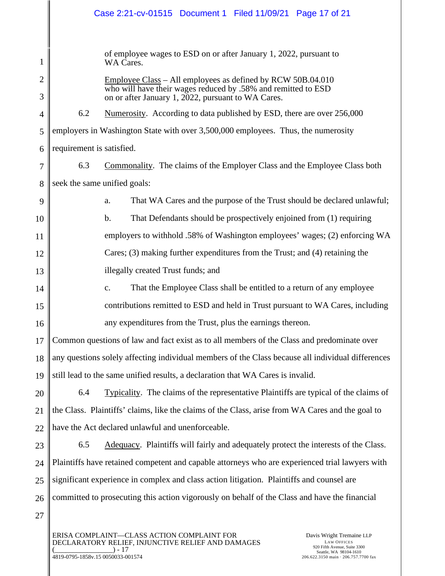## Case 2:21-cv-01515 Document 1 Filed 11/09/21 Page 17 of 21

of employee wages to ESD on or after January 1, 2022, pursuant to WA Cares.

Employee Class – All employees as defined by RCW 50B.04.010 who will have their wages reduced by .58% and remitted to ESD on or after January 1, 2022, pursuant to WA Cares.

4 5 6 6.2 Numerosity. According to data published by ESD, there are over 256,000 employers in Washington State with over 3,500,000 employees. Thus, the numerosity requirement is satisfied.

1

2

3

27

7 8 6.3 Commonality. The claims of the Employer Class and the Employee Class both seek the same unified goals:

9 10 11 12 13 a. That WA Cares and the purpose of the Trust should be declared unlawful; b. That Defendants should be prospectively enjoined from (1) requiring employers to withhold .58% of Washington employees' wages; (2) enforcing WA Cares; (3) making further expenditures from the Trust; and (4) retaining the illegally created Trust funds; and

14 15 16 c. That the Employee Class shall be entitled to a return of any employee contributions remitted to ESD and held in Trust pursuant to WA Cares, including any expenditures from the Trust, plus the earnings thereon.

17 18 19 Common questions of law and fact exist as to all members of the Class and predominate over any questions solely affecting individual members of the Class because all individual differences still lead to the same unified results, a declaration that WA Cares is invalid.

20 21 22 6.4 Typicality. The claims of the representative Plaintiffs are typical of the claims of the Class. Plaintiffs' claims, like the claims of the Class, arise from WA Cares and the goal to have the Act declared unlawful and unenforceable.

23 24 25 26 6.5 Adequacy. Plaintiffs will fairly and adequately protect the interests of the Class. Plaintiffs have retained competent and capable attorneys who are experienced trial lawyers with significant experience in complex and class action litigation. Plaintiffs and counsel are committed to prosecuting this action vigorously on behalf of the Class and have the financial

ERISA COMPLAINT—CLASS ACTION COMPLAINT FOR DECLARATORY RELIEF, INJUNCTIVE RELIEF AND DAMAGES  $( ) - 17$ 4819-0795-1858v.15 0050033-001574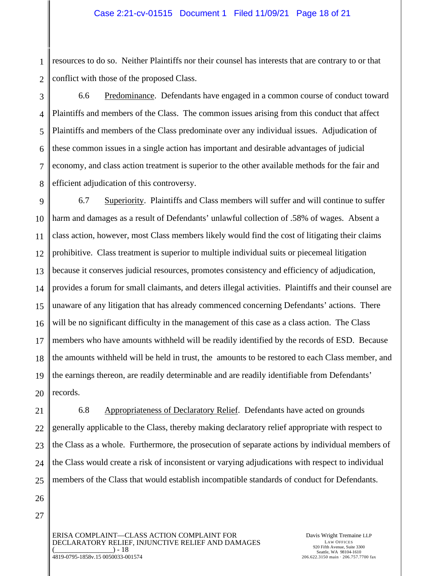1 2 resources to do so. Neither Plaintiffs nor their counsel has interests that are contrary to or that conflict with those of the proposed Class.

3 4 5 6 7 8 6.6 Predominance. Defendants have engaged in a common course of conduct toward Plaintiffs and members of the Class. The common issues arising from this conduct that affect Plaintiffs and members of the Class predominate over any individual issues. Adjudication of these common issues in a single action has important and desirable advantages of judicial economy, and class action treatment is superior to the other available methods for the fair and efficient adjudication of this controversy.

9 10 11 12 13 14 15 16 17 18 19 20 6.7 Superiority. Plaintiffs and Class members will suffer and will continue to suffer harm and damages as a result of Defendants' unlawful collection of .58% of wages. Absent a class action, however, most Class members likely would find the cost of litigating their claims prohibitive. Class treatment is superior to multiple individual suits or piecemeal litigation because it conserves judicial resources, promotes consistency and efficiency of adjudication, provides a forum for small claimants, and deters illegal activities. Plaintiffs and their counsel are unaware of any litigation that has already commenced concerning Defendants' actions. There will be no significant difficulty in the management of this case as a class action. The Class members who have amounts withheld will be readily identified by the records of ESD. Because the amounts withheld will be held in trust, the amounts to be restored to each Class member, and the earnings thereon, are readily determinable and are readily identifiable from Defendants' records.

21 22 23 24 25 6.8 Appropriateness of Declaratory Relief. Defendants have acted on grounds generally applicable to the Class, thereby making declaratory relief appropriate with respect to the Class as a whole. Furthermore, the prosecution of separate actions by individual members of the Class would create a risk of inconsistent or varying adjudications with respect to individual members of the Class that would establish incompatible standards of conduct for Defendants.

26 27

> ERISA COMPLAINT—CLASS ACTION COMPLAINT FOR DECLARATORY RELIEF, INJUNCTIVE RELIEF AND DAMAGES  $) - 18$ 4819-0795-1858v.15 0050033-001574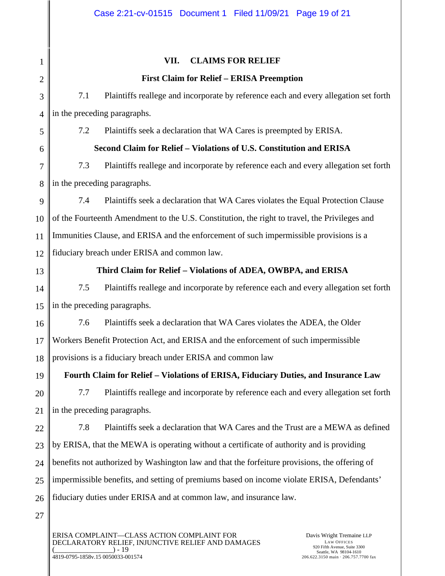| $\mathbf{1}$   | <b>CLAIMS FOR RELIEF</b><br>VII.                                                              |  |  |  |  |
|----------------|-----------------------------------------------------------------------------------------------|--|--|--|--|
| $\overline{2}$ | <b>First Claim for Relief - ERISA Preemption</b>                                              |  |  |  |  |
| 3              | Plaintiffs reallege and incorporate by reference each and every allegation set forth<br>7.1   |  |  |  |  |
| $\overline{4}$ | in the preceding paragraphs.                                                                  |  |  |  |  |
| 5              | 7.2<br>Plaintiffs seek a declaration that WA Cares is preempted by ERISA.                     |  |  |  |  |
| 6              | Second Claim for Relief - Violations of U.S. Constitution and ERISA                           |  |  |  |  |
| 7              | 7.3<br>Plaintiffs reallege and incorporate by reference each and every allegation set forth   |  |  |  |  |
| 8              | in the preceding paragraphs.                                                                  |  |  |  |  |
| 9              | Plaintiffs seek a declaration that WA Cares violates the Equal Protection Clause<br>7.4       |  |  |  |  |
| 10             | of the Fourteenth Amendment to the U.S. Constitution, the right to travel, the Privileges and |  |  |  |  |
| 11             | Immunities Clause, and ERISA and the enforcement of such impermissible provisions is a        |  |  |  |  |
| 12             | fiduciary breach under ERISA and common law.                                                  |  |  |  |  |
| 13             | Third Claim for Relief - Violations of ADEA, OWBPA, and ERISA                                 |  |  |  |  |
| 14             | Plaintiffs reallege and incorporate by reference each and every allegation set forth<br>7.5   |  |  |  |  |
| 15             | in the preceding paragraphs.                                                                  |  |  |  |  |
| 16             | 7.6<br>Plaintiffs seek a declaration that WA Cares violates the ADEA, the Older               |  |  |  |  |
| 17             | Workers Benefit Protection Act, and ERISA and the enforcement of such impermissible           |  |  |  |  |
| 18             | provisions is a fiduciary breach under ERISA and common law                                   |  |  |  |  |
| 19             | Fourth Claim for Relief - Violations of ERISA, Fiduciary Duties, and Insurance Law            |  |  |  |  |
| 20             | Plaintiffs reallege and incorporate by reference each and every allegation set forth<br>7.7   |  |  |  |  |
| 21             | in the preceding paragraphs.                                                                  |  |  |  |  |
| 22             | 7.8<br>Plaintiffs seek a declaration that WA Cares and the Trust are a MEWA as defined        |  |  |  |  |
| 23             | by ERISA, that the MEWA is operating without a certificate of authority and is providing      |  |  |  |  |
| 24             | benefits not authorized by Washington law and that the forfeiture provisions, the offering of |  |  |  |  |
| 25             | impermissible benefits, and setting of premiums based on income violate ERISA, Defendants'    |  |  |  |  |
| 26             | fiduciary duties under ERISA and at common law, and insurance law.                            |  |  |  |  |
| 27             |                                                                                               |  |  |  |  |

ERISA COMPLAINT—CLASS ACTION COMPLAINT FOR DECLARATORY RELIEF, INJUNCTIVE RELIEF AND DAMAGES  $(\_$ 4819-0795-1858v.15 0050033-001574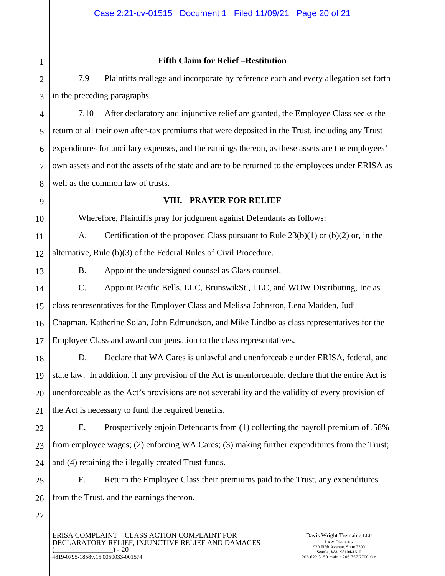#### **Fifth Claim for Relief –Restitution**

2 3 7.9 Plaintiffs reallege and incorporate by reference each and every allegation set forth in the preceding paragraphs.

4 5 6 7 8 7.10 After declaratory and injunctive relief are granted, the Employee Class seeks the return of all their own after-tax premiums that were deposited in the Trust, including any Trust expenditures for ancillary expenses, and the earnings thereon, as these assets are the employees' own assets and not the assets of the state and are to be returned to the employees under ERISA as well as the common law of trusts.

### 9

10

13

27

1

#### **VIII. PRAYER FOR RELIEF**

Wherefore, Plaintiffs pray for judgment against Defendants as follows:

11 12 A. Certification of the proposed Class pursuant to Rule 23(b)(1) or (b)(2) or, in the alternative, Rule (b)(3) of the Federal Rules of Civil Procedure.

B. Appoint the undersigned counsel as Class counsel.

14 15 16 17 C. Appoint Pacific Bells, LLC, BrunswikSt., LLC, and WOW Distributing, Inc as class representatives for the Employer Class and Melissa Johnston, Lena Madden, Judi Chapman, Katherine Solan, John Edmundson, and Mike Lindbo as class representatives for the Employee Class and award compensation to the class representatives.

18 19 20 21 D. Declare that WA Cares is unlawful and unenforceable under ERISA, federal, and state law. In addition, if any provision of the Act is unenforceable, declare that the entire Act is unenforceable as the Act's provisions are not severability and the validity of every provision of the Act is necessary to fund the required benefits.

22 23 24 E. Prospectively enjoin Defendants from (1) collecting the payroll premium of .58% from employee wages; (2) enforcing WA Cares; (3) making further expenditures from the Trust; and (4) retaining the illegally created Trust funds.

25 26 F. Return the Employee Class their premiums paid to the Trust, any expenditures from the Trust, and the earnings thereon.

ERISA COMPLAINT—CLASS ACTION COMPLAINT FOR DECLARATORY RELIEF, INJUNCTIVE RELIEF AND DAMAGES  $) - 20$ 4819-0795-1858v.15 0050033-001574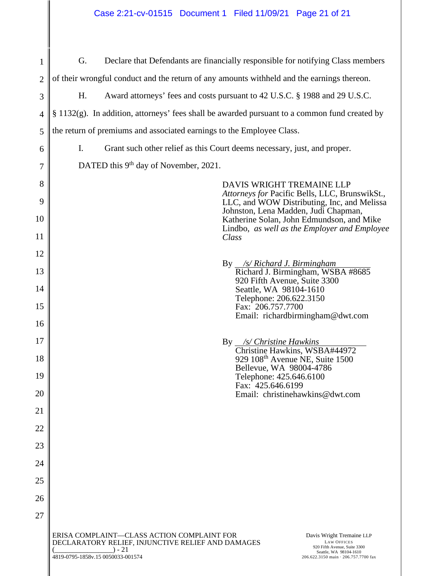| 1              | G.<br>Declare that Defendants are financially responsible for notifying Class members                                                            |                                                                                               |                                                                                                                                                   |  |  |  |
|----------------|--------------------------------------------------------------------------------------------------------------------------------------------------|-----------------------------------------------------------------------------------------------|---------------------------------------------------------------------------------------------------------------------------------------------------|--|--|--|
| $\overline{2}$ | of their wrongful conduct and the return of any amounts withheld and the earnings thereon.                                                       |                                                                                               |                                                                                                                                                   |  |  |  |
| 3              | Η.                                                                                                                                               | Award attorneys' fees and costs pursuant to 42 U.S.C. § 1988 and 29 U.S.C.                    |                                                                                                                                                   |  |  |  |
| 4              |                                                                                                                                                  | § 1132(g). In addition, attorneys' fees shall be awarded pursuant to a common fund created by |                                                                                                                                                   |  |  |  |
| 5              | the return of premiums and associated earnings to the Employee Class.                                                                            |                                                                                               |                                                                                                                                                   |  |  |  |
| 6              | I.<br>Grant such other relief as this Court deems necessary, just, and proper.                                                                   |                                                                                               |                                                                                                                                                   |  |  |  |
| 7              | DATED this 9 <sup>th</sup> day of November, 2021.                                                                                                |                                                                                               |                                                                                                                                                   |  |  |  |
| 8              |                                                                                                                                                  |                                                                                               | DAVIS WRIGHT TREMAINE LLP<br>Attorneys for Pacific Bells, LLC, BrunswikSt.,                                                                       |  |  |  |
| 9              |                                                                                                                                                  |                                                                                               | LLC, and WOW Distributing, Inc, and Melissa<br>Johnston, Lena Madden, Judi Chapman,                                                               |  |  |  |
| 10             |                                                                                                                                                  |                                                                                               | Katherine Solan, John Edmundson, and Mike<br>Lindbo, as well as the Employer and Employee                                                         |  |  |  |
| 11             |                                                                                                                                                  |                                                                                               | Class                                                                                                                                             |  |  |  |
| 12             |                                                                                                                                                  |                                                                                               |                                                                                                                                                   |  |  |  |
| 13             | By <i>_/s/ Richard J. Birmingham</i><br>Richard J. Birmingham, WSBA #8685<br>920 Fifth Avenue, Suite 3300                                        |                                                                                               |                                                                                                                                                   |  |  |  |
| 14             |                                                                                                                                                  | Seattle, WA 98104-1610<br>Telephone: 206.622.3150                                             |                                                                                                                                                   |  |  |  |
| 15             | Fax: 206.757.7700                                                                                                                                |                                                                                               |                                                                                                                                                   |  |  |  |
| 16             | Email: richardbirmingham@dwt.com                                                                                                                 |                                                                                               |                                                                                                                                                   |  |  |  |
| 17             | By /s/ Christine Hawkins<br>Christine Hawkins, WSBA#44972                                                                                        |                                                                                               |                                                                                                                                                   |  |  |  |
| 18             | 929 108 <sup>th</sup> Avenue NE, Suite 1500                                                                                                      |                                                                                               |                                                                                                                                                   |  |  |  |
| 19             | Bellevue, WA 98004-4786<br>Telephone: 425.646.6100                                                                                               |                                                                                               |                                                                                                                                                   |  |  |  |
| 20             | Fax: 425.646.6199<br>Email: christinehawkins@dwt.com                                                                                             |                                                                                               |                                                                                                                                                   |  |  |  |
| 21             |                                                                                                                                                  |                                                                                               |                                                                                                                                                   |  |  |  |
| 22             |                                                                                                                                                  |                                                                                               |                                                                                                                                                   |  |  |  |
| 23             |                                                                                                                                                  |                                                                                               |                                                                                                                                                   |  |  |  |
| 24             |                                                                                                                                                  |                                                                                               |                                                                                                                                                   |  |  |  |
| 25             |                                                                                                                                                  |                                                                                               |                                                                                                                                                   |  |  |  |
| 26             |                                                                                                                                                  |                                                                                               |                                                                                                                                                   |  |  |  |
| 27             |                                                                                                                                                  |                                                                                               |                                                                                                                                                   |  |  |  |
|                | ERISA COMPLAINT-CLASS ACTION COMPLAINT FOR<br>DECLARATORY RELIEF, INJUNCTIVE RELIEF AND DAMAGES<br>$) - 21$<br>4819-0795-1858v.15 0050033-001574 |                                                                                               | Davis Wright Tremaine LLP<br><b>LAW OFFICES</b><br>920 Fifth Avenue, Suite 3300<br>Seattle, WA 98104-1610<br>206.622.3150 main · 206.757.7700 fax |  |  |  |